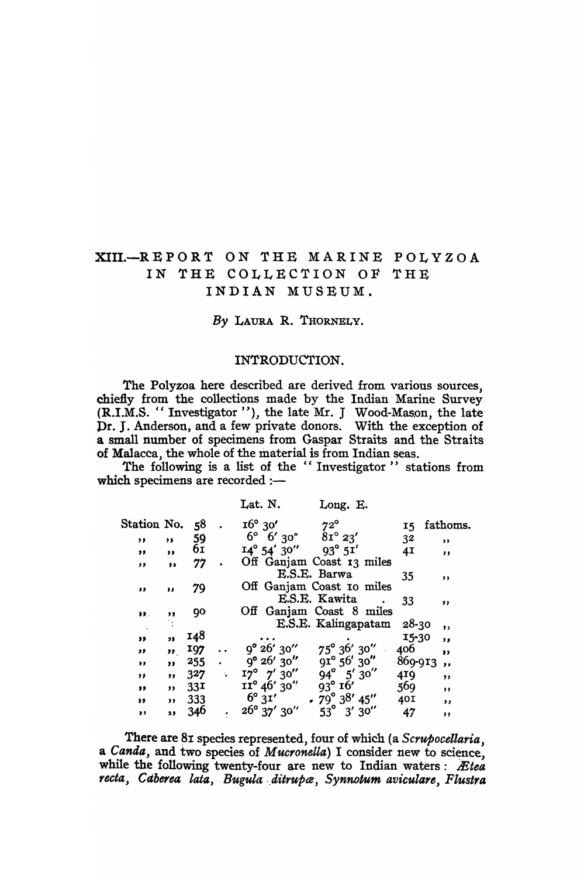# XIII.-REPORT ON THE MARINE POLYZOA IN THE COLLECTION OF THE INDIAN MUSEUM.

*By* LAURA R. TRORNELY.

#### INTRODUCTION.

The Polyzoa here described are derived from various sources, chiefly from the collections made by the Indian' Marine Survey. (R.I.M.S. "Investigator "), the late Mr. J Wood-Mason, the late Dr. J. Anderson, and a few private donors. With the exception of a sma11 number of specimens from Gaspar Straits and the Straits of Malacca, the whole of the material is from Indian seas.

The following is a list of the "Investigator" stations from which specimens are recorded :-

|             |               |                 | Lat. N.                                                                                  | Long. E.                            |                |                         |
|-------------|---------------|-----------------|------------------------------------------------------------------------------------------|-------------------------------------|----------------|-------------------------|
| Station No. |               | 58              | $16^{\circ}$ 30'<br>$16^{\circ}$ 30' $72^{\circ}$<br>$6^{\circ}$ 6' 30' $81^{\circ}$ 23' |                                     | 15             | fathoms.                |
| "           | $, \,$        | 59              |                                                                                          |                                     | 3 <sup>2</sup> | , ,                     |
| "           | $, \, \cdot$  | 6I              | $I4^{\circ} 54' 30''$ $93^{\circ} 5I'$                                                   |                                     | 4I             | , ,                     |
| , ,         | $\bullet$     | 77              |                                                                                          | Off Ganjam Coast 13 miles           |                |                         |
|             |               |                 |                                                                                          | E.S.E. Barwa                        | 35             | ,,                      |
| ,,          | ,,            | 79              |                                                                                          | Off Ganjam Coast to miles           |                |                         |
|             |               |                 |                                                                                          | E.S.E. Kawita                       | 33             | ,,                      |
| 39.         | ,,            | 90              |                                                                                          | Off Ganjam Coast 8 miles            |                |                         |
|             |               |                 |                                                                                          | E.S.E. Kalingapatam                 | $28-30$        | $\mathbf{z}$            |
| "           | ,,            | <b>148</b>      |                                                                                          |                                     | $15 - 30$      | ,                       |
| ,,          | $\rightarrow$ | 197             | $9^{\circ} 26' 30''$                                                                     | $75^{\circ}$ 36' 30"                | 406            | "                       |
| ,,          | "             | $255$ .         | $9^{\circ}$ 26' 30"                                                                      | $91^{\circ} 56' 30''$<br>94° 5′ 30″ | 869-913        | $\overline{\mathbf{z}}$ |
| ,,          | ,             | 327             | $17^{\circ}$ 7' 30''                                                                     |                                     | 419            | $, \,$                  |
| ,,          | $, \, \,$     | 33 <sup>T</sup> | $11^{\circ} 46' 30''$                                                                    | $93^\circ$ $16'$                    | 569            | , ,                     |
| "           |               | , 333           | $6^\circ 3^\prime$                                                                       | $\cdot$ 79° 38′ 45″                 | 40I            | $, \,$                  |
| ,           | ä3            | 346             | $26^{\circ}$ 37' 30"                                                                     | $53^\circ$<br>3'30''                | 47             | ,,                      |
|             |               |                 |                                                                                          |                                     |                |                         |

There are 81 species represented, four of which (a *Scrupocellaria*, a *Canda*, and two species of *Mucronella*) I consider new to science, while the following twenty-four are new to Indian waters: *Ætea* recta, Caberea lata, Bugula ditrupa, Synnotum aviculare, Flustra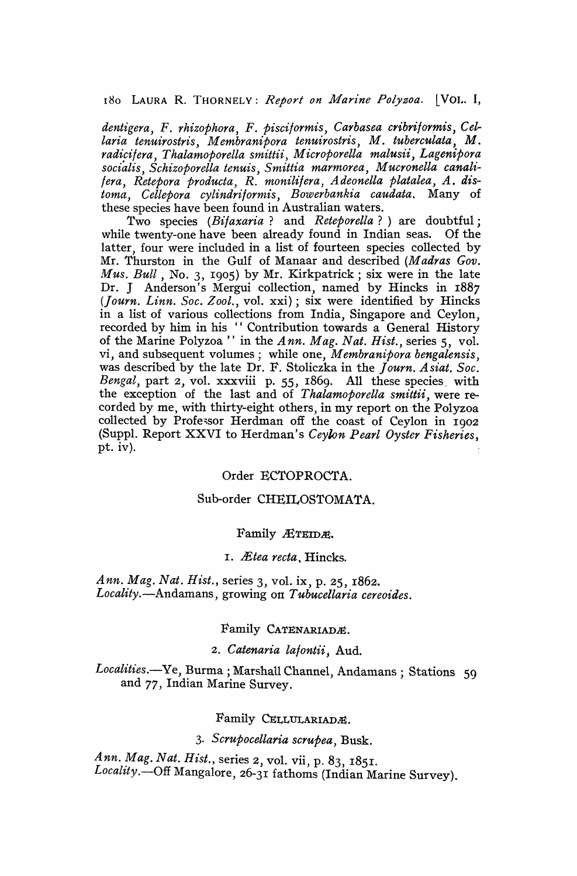180 LAURA R. THORNELY: *Report on Marine Polyzoa.* [VOI.. I,

*dentigera,* F. *rhizophora,* F. *Pisciformis, Carbasea cribrijorrnis, eel*laria tenuirostris, Membranipora tenuirostris, M. tuberculata, M. radicifera, Thalamoporella smittii, Microporella malusii, Lagenipora socialis, Schizoporella tenuis, Smittia marmorea, Mucronella canali*fera, Retepora producta, R. monilifera, Adeonella platalea, A. distoma, Cellepora cylindrilormis, Bowerbankia caudata.* Many of these species have been found in Australian waters.

'rwo species *(Bilaxaria?* and *Reteporella?)* are doubtful; while twenty-one have been already found in Indian seas. Of the latter, four were included in a list of fourteen species collected by Mr. Thurston in the Gulf of Manaar and described *(Madras Gov. Mus. Bull*, No. 3, 1905) by Mr. Kirkpatrick; six were in the late Dr. J Anderson's Mergui collection, named by Hincks in 1887 (Journ. Linn. Soc. Zool., vol. xxi); six were identified by Hincks in a list of various collections from India, Singapore and Ceylon, recorded by him in his "Contribution towards a General History of the Marine Polyzoa " in the *Ann. Mag. Nat. Hist.,* series 5, vol. vi, and subsequent volumes; while one, *Membranipora bengalensis,*  was described by the late Dr. F. Stoliczka in the *Journ. Asiat. Soc. Bengal,* part 2, vol. xxxviii p. 55, 1869. All these species, with the exception of the last and of *Thalamoporella smittii,* were recorded by me, with thirty-eight others, in my report on-the Polyzoa collected by Professor Herdman off the coast of Ceylon in 1902 (Suppl. Report XXVI to Herdman's *Ceylon Pearl Oyster Fisheries,*  pt. iv).

#### Order ECTOPROCTA.

## Sub-order CHEILOSTOMATA.

#### Family *Æ*TEIDE.

## I. *lEtea recta,* Hincks.

*Ann. Mag. Nat. Hist.,* series 3, vol. ix, p. 25, 1862. *Locality.-Andamans,* growing on *Tubucellaria cereoides.* 

## Family CATENARIADE.

## *2. Catenaria lalontii;* Aud.

Localities.-Ye, Burma; Marshall Channel, Andamans; Stations 59 and 77, Indian Marine Survey.

## Family CELLULARIADE.

## *3· Scrupocellaria scrupea,* Busk.

Ann. Mag. Nat. Hist., series 2, vol. vii, p. 83, 1851. Locality.-Off Mangalore, 26-31 fathoms (Indian Marine Survey).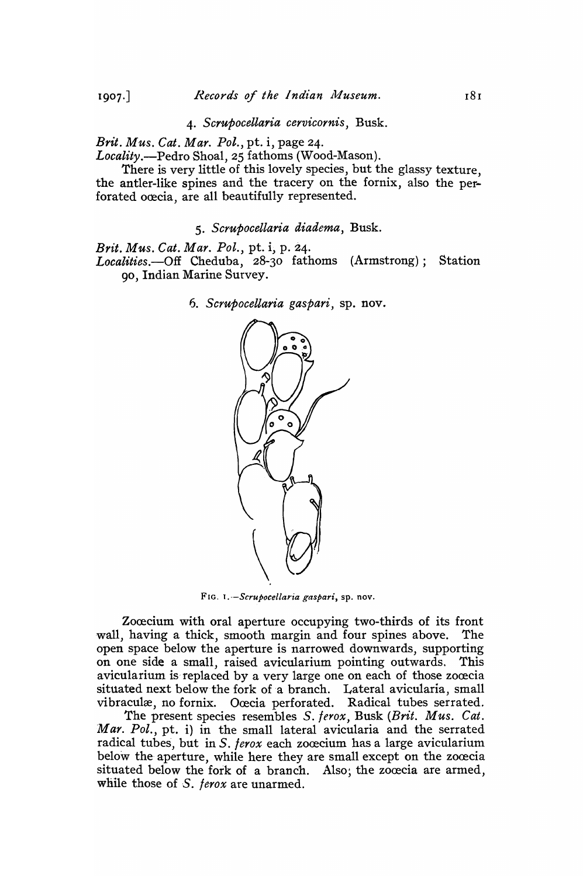*4. Scrupocellaria cervicornis,* Busk.

*Brit. Mus. Cat. Mar. Pol.,* pt. i, page 24.

*Locality.-Pedro* Shoal, 25 fathoms (Wood-Mason).

There is very little of this lovely species, but the glassy texture, the antler-like spines and the tracery on the fornix, also the perforated ocecia, are all beautifully represented.

*5. Scrupocellaria diadema,* Busk.

*Brit. Mus. Cat. Mar. Pol.,* pt. i, p. 24. *Localities.-Off* Cheduba, 28-30 fathoms (Armstrong); Station 90, Indian Marine Survey.

6. *5crupocellaria gaspari,* sp. nov.



FIG. *I.--Scrupocellaria gaspari,* sp. nov.

Zocecium with oral aperture occupying two-thirds of its front wall, having a thick, smooth margin and four spines above. The open space below the aperture is narrowed downwards, supporting on one side a small, raised avicularium pointing outwards. This avicularium is replaced by a very large one on each of those zocecia situated next below the fork of a branch. Lateral avicularia, small vibraculæ, no fornix. Ocecia perforated. Radical tubes serrated.

The present species resembles S. *ferox,* Busk *(Brit. Mus. Cat. Mar. Pol.,* pt. i) in the small lateral avicularia and the serrated radical tubes, but in S. *ferox* each zocecium has a large avicularium below the aperture, while here they are small except on the zocecia situated below the fork of a branch. Also, the zocecia are armed, while those of S. *ferox* are unarmed.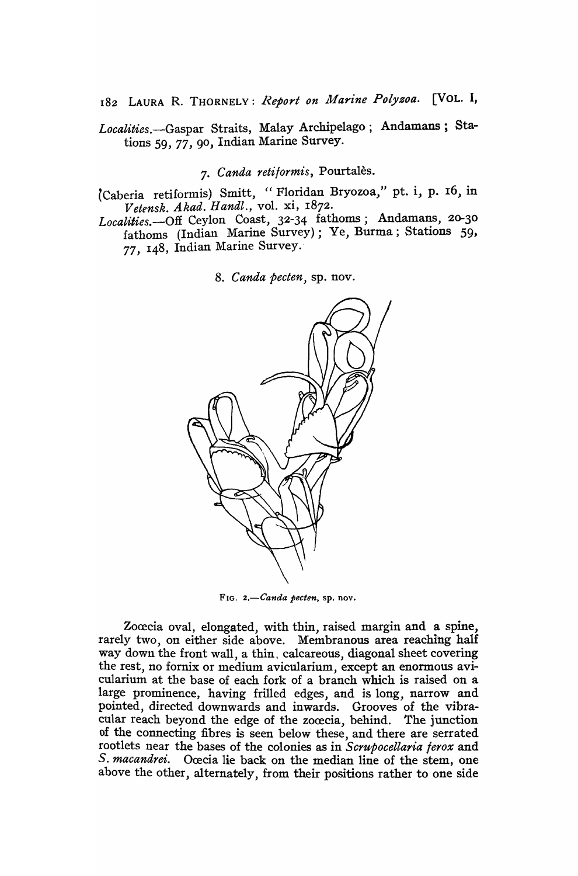182 LAURA R. THORNELY: *Report on Marine Polysoa.* [VOL. I,

*Localities.-Gaspar* Straits, Malay Archipelago; Andamans; Stations 59, 77, 90, Indian Marine Survey.

## *7. Canda reti/ormis,* Pourtales.

- (Caberia retiformis) Smitt, "Floridan Bryozoa," pt. i, p. 16, in *Vetensk. Akad. Handl.,* vol. xi, 1872 .
- Localities.--Off Ceylon Coast, 32-34 fathoms; Andamans, 20-30 fathoms (Indian Marine Survey); Ye, Burma; Stations 59, 77, 148, Indian Marine Survey.'

*8. Canda pecten,* sp. nov.



FIG. *2.-Canda pecten,* sp. nov.

Zoœcia oval, elongated, with thin, raised margin and a spine, rarely two, on either side above. Membranous area reaching half way down the front wall, a thin, calcareous, diagonal sheet covering the rest, no fornix or medium avicularium, except an enormous avicularium at the base of each fork of a branch which is raised on a large prominence, having frilled edges, and is long, narrow and pointed, directed downwards and inwards. Grooves of the vibracular reach beyond the edge of the zoœcia, behind. The junction of the connecting fibres is seen below these, and there are serrated rootlets near the bases of the colonies as in *Scrupocellaria lerox* and S. macandrei. Ocecia lie back on the median line of the stem, one above the other, alternately, from their positions rather to one side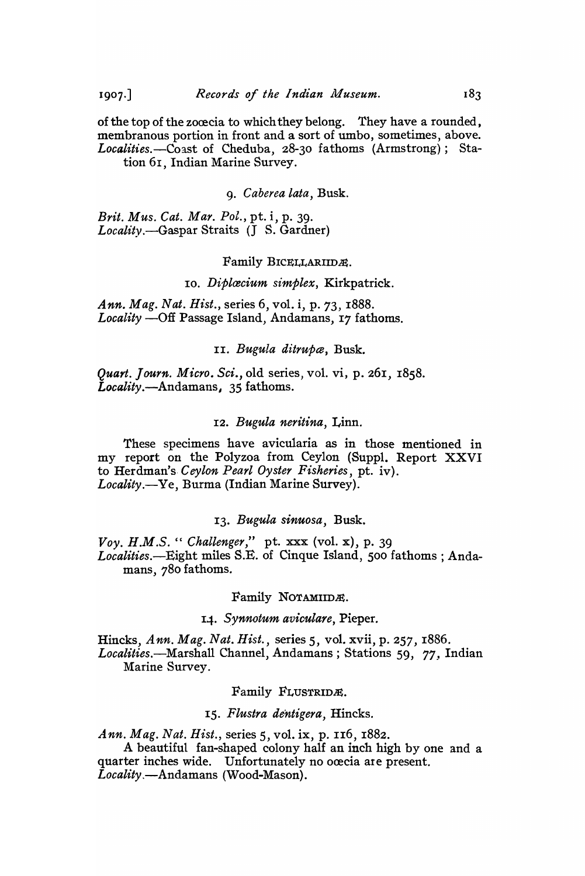of the top of the zocecia to which they belong. They have a rounded, membranous portion in front and a sort of umbo, sometimes, above. *Localities.-Coast* of Cheduba, 28-30 fathoms (Armstrong); Station 61, Indian Marine Survey.

*9. Caberea lata,* Busk.

*Brit. Mus. Cat. Mar. Pol.,* pt. i, p. 39. *Locality.-Gaspar* Straits (J S. Gardner)

## Family BICELLARIIDA.

#### 10. Diplæcium simplex, Kirkpatrick.

Ann. Mag. Nat. Hist., series 6, vol. i, p. 73, 1888. Locality --Off Passage Island, Andamans, 17 fathoms.

II. *Bugula ditrupce,* Busk.

*Quart. Journ. Micro. Sci.,* old series, vol. vi, p. 261, 1858. *Locality.-Andamans,* 35 fathoms.

#### *12. Bugula neritina,* Linn.

These specimens have avicularia as in those mentioned in my report on the Polyzoa from Ceylon (Suppl. Report XXVI to Herdman's. *Ceylon Pearl Oyster Fisheries,* pt. iv). *Locality.-Ye,* Burma (Indian Marine Survey).

## *13. Bugula sinuosa,* Busk.

*Voy. H.M.S. "Challenger,"* pt. xxx (vol. x), p. 39 *Localities.-Eight* miles S.E. of Cinque Island, 500 fathoms; Andamans, 780 fathoms.

#### Family NOTAMIIDE.

## *14. Synnotum aviculare,* Pieper.

Hincks, *Ann. Mag. Nat. Hist.,* series 5, vol. xvii, p. 257,1886. *Localities.-Marshall* Channel, Andamans ; Stations 59, 77, Indian Marine Survey.

#### Family FLUSTRIDE.

#### *IS. Flustra de'ntigera,* Hincks.

*Ann. Mag. Nat. Hist.,* series 5, vol. ix, p. 116, 1882.

A beautiful fan-shaped colony half an inch high by one and a quarter inches wide. Unfortunately no ocecia are present. *Locality.-Andamans* (Wood-Mason).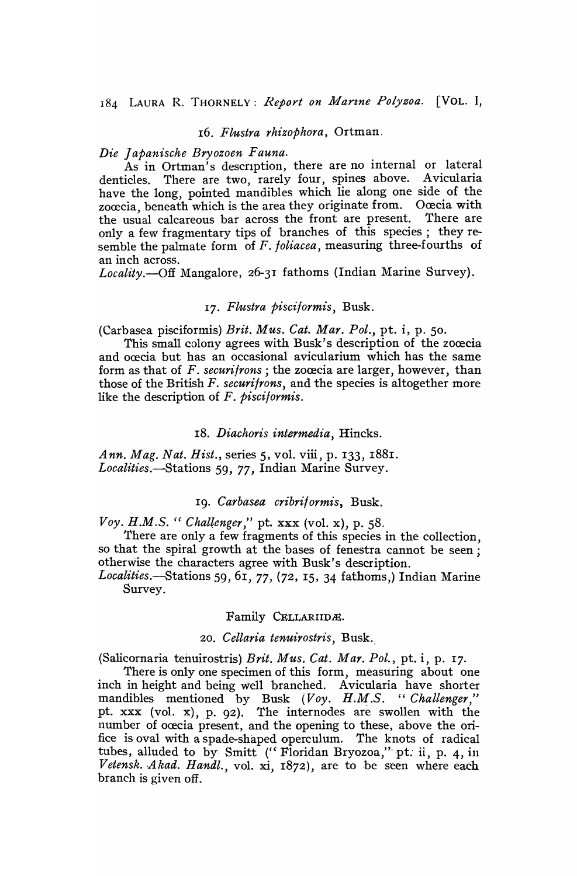#### 16. *Flustra rhizophora,* Ortman.

#### *Die ] apanische Bryozoen Fauna.*

As in Ortman's description, there are no internal or lateral denticles. There are two, rarely four, spines above. Avicularia have the long, pointed mandibles which lie along one side of the zoœcia, beneath which is the area they originate from. Oœcia with the usual calcareous bar across the front are present. There are only a few fragmentary tips of branches of this species; they resemble the palmate form of *F. foliacea,* measuring three-fourths of an inch across.

*Locality.-Off* Mangalore, 26-31 fathoms (Indian Marine Survey).

## *17. Flustra Pisciformis,* Busk.

(Carbasea pisciformis) *Brit. Mus. Cat. Mar. Pol.,* pt. i, p. 50.

This small colony agrees with Busk's description of the zocecia and occia but has an occasional avicularium which has the same form as that of *F. securifrons*; the zocecia are larger, however, than those of the British *F. securifrons,* and the species is altogether more like the description of *F. Pisciformis.* 

#### *18. Diachoris intermedia,* Hincks.

*Ann. Mag. Nat. Hist.,* series 5, vol. viii, p. 133, 1881. *Localities.-Stations* 59, 77, Indian Marine Survey.

### 19. *Carbasea cribriformis,* Busk.

*Voy. H.M.S.* " *Chaltenger,"* pt. xxx (vol. x), p. 58.

There are only a few fragments of this species in the collection, so that the spiral growth at the bases of fenestra cannot be seen; otherwise the characters agree with Busk's description.

*Localities.-Stations* 59, 61, 77, (72 , IS, 34 fathoms,) Indian Marine Survey.

#### Family CELLARIIDÆ.

## *20. Cellaria tenuirostris,* Busk ..

(Salicornaria tenuirostris) *Brit. Mus. Cat. Mar., Pol.,* pt. i, p. 17.

There is only one specimen of this form, measuring about one inch in height and being well branched. Avicularia have shorter mandibles mentioned by Busk *(Voy. H.M.S. "Challenger,"*  pt. xxx (vol. x), p. 92). The internodes are swollen with the number of oœcia present, and the opening to these, above the orifice is oval with a spade-shaped operculum. The knots of radical tubes, alluded to by Smitt ("Floridan Bryozoa," pt. ii, p. 4, in Vetensk. Akad. Handl., vol. xi, 1872), are to be seen where each branch is given off.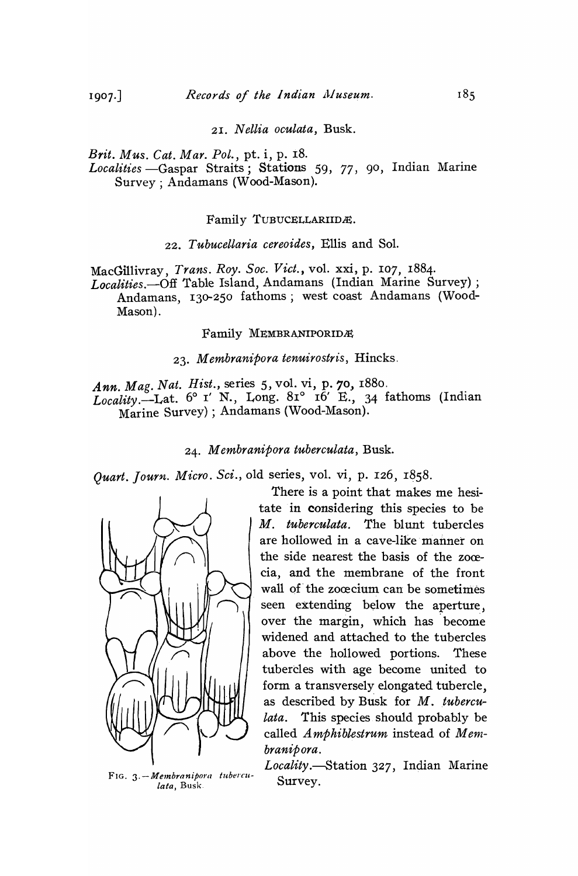*21. Nellia oculata,* Busk.

*Brit. Mus. Cat. Mar. Pol.,* pt. i, p. 18. Localities -Gaspar Straits; Stations 59, 77, 90, Indian Marine

Survey; Andamans (Wood-Mason).

Family TUBUCELLARIIDE.

*22. Tubucellaria cereoides,* Ellis and Sol.

MacGillivray, *Trans. Roy. Soc. Viet.,* vol. xxi, p. 107, 1884.

*Localities.-Off* Table Island, Andamans (Indian Marine Survey) ; Andamans, 130-250 fathoms; west coast Andamans (Wood-Mason).

Family MEMBRANIPORIDÆ

*23. Membranipora tenuirostris,* Hincks.

*Ann. Mag. Nat. Hist.,* series 5, vol. vi, p. 70, 1880. *Locality.*-Lat.  $6^{\circ}$  I' N., Long.  $81^{\circ}$  Ib' E., 34 fathoms (Indian Marine Survey) ; Andamans (Wood-Mason).

24. *M embranipora tuberculata,* Busk.

Quart. Journ. Micro. Sci., old series, vol. vi, p. 126, 1858.



FIG. 3. - Membranipora tuberculata, Busk.

There is a point that makes me hesitate in considering this species to be *M. tubereulata.* The blunt tubercles are hollowed in a cave-like manner on the side nearest the basis of the zoœcia, and the membrane of the front wall of the zoœcium can be sometimes seen extending below the aperture, over the margin, which has become widened and attached to the tubercles above the hollowed portions. These tubercles with age become united to form a transversely elongated tubercle, as described by Busk for *M. tuberculata.* This species should probably be called *A mphiblestrum* instead of *M embranipora.* 

*Locality.-Station* 327, Indian Marine Survey.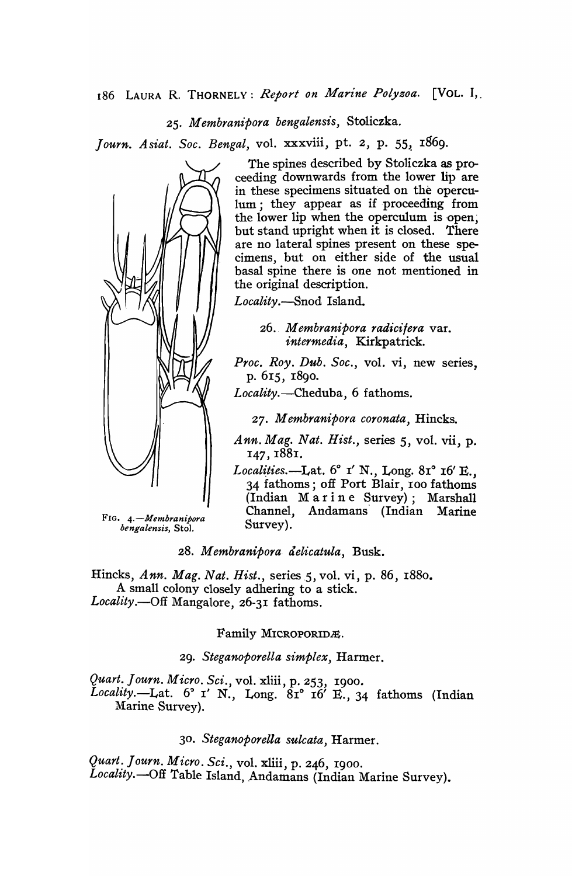*25. M embranipora bengalensis,* Stoliczka.

*Journ. Asiat. Soc. Bengal, vol. xxxviii, pt. 2, p. 55, 1869.* 



The spines described by Stoliczka as proceeding downwards from the lower lip are in these specimens situated on the operculum; they appear as if proceeding from the lower lip when the operculum is open; but stand upright when it is closed. There are no lateral spines present on these specimens, but on either side of the usual basal spine there is one not mentioned in the original description.

*Locality.-Snod* Island.

*26. Membranipora rad'ici/era* var. *intermedia,* Kirkpatrick.

*Proc. Roy. Dub* . *Soc.,* vol. vi, new series, p. 6r5, r8go.

*Locality.-Cheduba,* 6 fathoms.

*27.* M *embranipora coronata,* Hincks.

*Ann. Mag. Nat. Hist.,* series 5, vol. vii, p. 147, 1881.

*Localities.*—Lat. <sup>6°</sup> I' N., Long. 81° 16' E., 34 fathoms; off Port Blair, roo fathoms (Indian Marine Survey); Marshall Channel, Andamans' (Indian Marine Survey).

*28. Membranipora tielicatula,* Busk.

Hincks, *Ann. Mag. Nat. Hist.,* series 5, vol. vi, p. 86, r880. A small colony closely adhering to a stick. Locality.--Off Mangalore, 26-31 fathoms.

Family MICROPORIDÆ.

*29. Steganoporella simplex,* Harmer.

*Quart. J ourn. Micro. Sci.,* vol. xliii , p. 253, 1900. Locality.—Lat. <sup>6</sup>° I' N., Long. 8r<sup>o</sup> r6' E., 34 fathoms (Indian Marine Survey).

*30. Steganoporella sulcata,* Harmer.

*Quart: Journ. Micro. Sci.,* vol. xliii, p. 246, 1900• Locality.-Off Table Island, Andamans (Indian Marine Survey).

FIG. *4.-Memhranipora hengalensis,* Stol.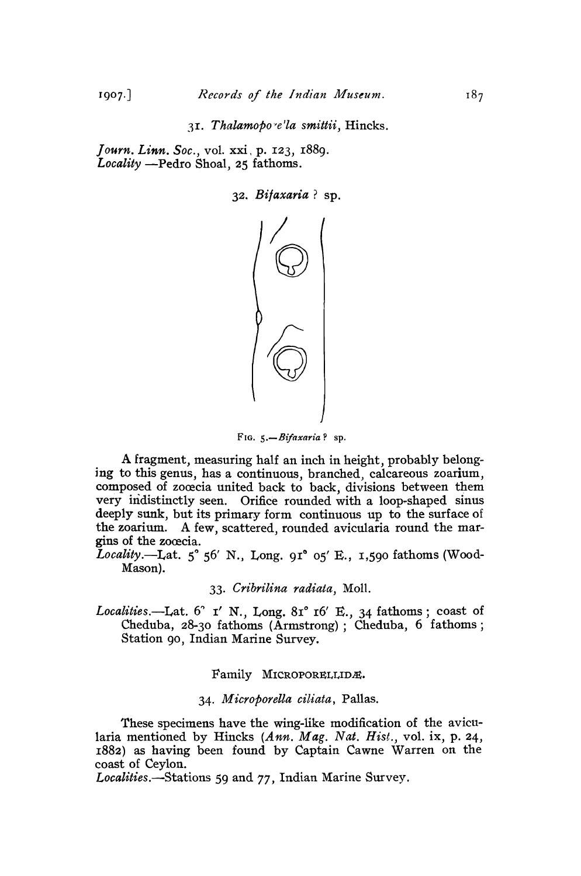3I. Thalamopo<sup>re'la</sup> smittii, Hincks.

*J ourn. Linn. Soc.,* vol. xxi, p. I23, I889. Locality -Pedro Shoal, 25 fathoms.

32 • *Bilaxaria?* sp.



FIG. 5.-Bifaxaria? sp.

A fragment, measuring half an inch in height, probably belonging to this genus, has a continuous, branched, calcareous zoarium, composed of zoœcia united back to back, divisions between them very indistinctly seen. Orifice rounded with a loop-shaped sinus deeply sunk, but its primary form continuous up to the surface of the zoarium. A few, scattered, rounded avicularia round the margins of the zocecia.

*Locality*.—Lat.  $5^{\circ}$  56' N., Long. 91° 05' E., 1,590 fathoms (Wood-Mason).

#### *33. Cribrilina radiata,* Moll.

Localities.-Lat. <sup>6</sup> I' N., Long. 81° 16' E., 34 fathoms; coast of Cheduba, 28-30 fathoms (Armstrong); Cheduba, 6 fathoms; Station 90, Indian Marine Survey.

#### Family MICROPORELLIDE.

### *34. M icroporella ciliata,* Pallas.

These specimens have the wing-like modification of the avicularia mentioned by Hincks *(Ann. Mag. Nat. Hist.,* vol. ix, p. 24, r882) as having been found by Captain Cawne Warren on the coast of Ceylon.

*Localities.-Stations* 59 and 77, Indian Marine Survey.

 $1907.$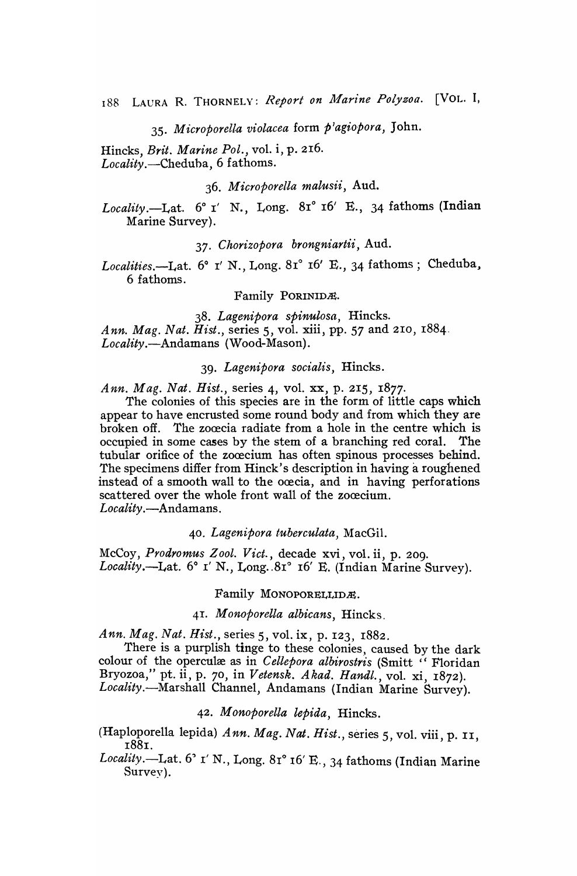*35. Microporella violacea* form *p7ag1:opora,* John.

Hincks, *Brit. Marine Pol.,* vol. i, p. 216. *Locality.-Cheduha,* 6 fathoms.

*36. M icroporella malusii,* Aud.

*Locality.*---Lat.  $6^{\circ}$  I' N., Long.  $81^{\circ}$  I $6'$  E., 34 fathoms (Indian Marine Survey).

*37. Chorizopora brongniartii,* Aud.

*Localities.*--Lat.  $6^{\circ}$  I' N., Long.  $81^{\circ}$  I<sub>6</sub>' E., 34 fathoms; Cheduba, 6 fathoms.

Family PORINIDÆ.

*38. Lagenipora spinulosa,* Hincks. *Ann. Mag. Nat. Hist.,* series 5, vol. xiii, pp. 57 and 210, 1884. *Locality.-Andamans* (Wood-Mason).

*39. Lagenipora socialis,* Hincks.

*Ann. Mag. Nat. Hist.,* series 4, vol. xx, p. 215, 1877.

The colonies of this species are in the form of little caps which appear to have encrusted some round body and from which they are broken off. The zoœcia radiate from a hole in the centre which is occupied in some cases by the stem of a branching red coral. The tubular orifice of the zoœcium has often spinous processes behind. The specimens differ from Hinck's description in having a roughened instead of a smooth wall to the ocecia, and in having perforations scattered over the whole front wall of the zoœcium. Locality.-Andamans.

*40. Lagenipora tuberculata,* MacGil.

McCoy, *Prodromus Z ool. Vict.,* decade xvi, vol. ii, p. 20g. Locality.--Lat. 6° *I' N., Long. 81° 16' E. (Indian Marine Survey)*.

#### Family MONOPORELLIDE.

## 4I. *M onoporella albicans,* Hincks.

*Ann. Mag. Nat. Hist.,* series 5, vol. ix, p. 123, 1882.

There is a purplish tinge to these colonies, caused by the dark colour of the operculæ as in *Cellepora albirostris* (Smitt "Floridan Bryozoa," pt. ii, p. 70, in *Vetensk. Akad. Handl.,* vol. xi, r872). *Locality.-Marshall* Channel, Andamans (Indian Marine Survey).

*42 . M onoporella lepida,* Hincks.

(Haploporella lepida) *Ann. Mag. Nat. Hist.,* series 5, vol. viii, p. II, I88r.

Locality.—Lat. <sup>6</sup> <sup>o</sup> I' N., Long. 81° 16' E., 34 fathoms (Indian Marine Survey).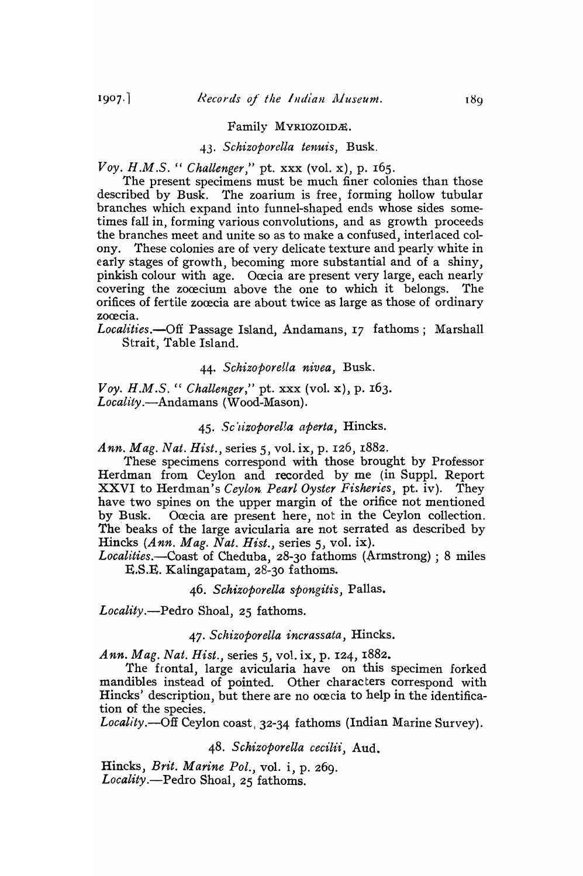#### Family MYRIOZOIDÆ.

### *43. Schizoporella tenuis,* Busk.

*Voy. H.M.S.* " *Challenger,"* pt. xxx (vol. x), p. 165.

The present specimens must be much finer colonies than those described by Busk. The zoarium is free, forming hollow tubular branches which expand into funnel-shaped ends whose sides sometimes fall in, forming various convolutions, and as growth proceeds the branches meet and unite so as to make a confused, interlaced colony. These colonies are of very delicate texture and pearly white in early stages of growth, becoming more substantial and of a shiny, pinkish colour with age. Ocecia are present very large, each nearly covering the zocecium above the one to which it belongs. The orifices of fertile zocecia are about twice as large as those of ordinary zocecia.

Localities.-Off Passage Island, Andamans, 17 fathoms; Marshall Strait, Table Island.

### 44. *SchizoporeUa nivea,* Busk.

*Voy. H.M.S.* " *Challenger,"* pt. xxx (vol. x), p. 163. *Locality.-Andamans* (Wood-Mason).

### 45. *Sc'tizoporeUa aperta,* Hincks.

*Ann. Mag. Nat. Hist.,* series 5, vol. ix, p. 126, 1882.

These specimens correspond with those brought by Professor Herdman from Ceylon and recorded by me (in Suppl. Report XXVI to Herdman's *Ceylon. Pearl Oyster Fisheries,* pt. iv). They have two spines on the upper margin of the orifice not mentioned by Busk. Ocecia are present here, not in the Ceylon collection. The beaks of the large avicularia are not serrated as described by Hincks *(Ann. Mag. Nat. Hist.,* series 5, vol. ix).

*Localities.-Coast* of Cheduba, 28-30 fathoms (Armstrong) ; 8 miles E.S.E. Kalingapatam, 28-30 fathoms.

#### *46. Schizoporella spongitis,* Pallas.

*Locality.-Pedro* Shoal, 25 fathoms.

#### *47. Schizoporella incrassata,* Hincks.

*Ann. Mag. Nat. Hist.,* series 5, vol. ix, p. 124, I882.

The frontal, large avicularia have on this specimen forked mandibles instead of pointed. Other characters correspond with Hincks' description, but there are no ocecia to help in the identification of the species.

*Locality.-Off* Ceylon coast, 32-34 fathoms (Indian Marine Survey).

*48. Schizoporella cecilii,* AUd.

Hincks, *Brit. Marine Pol.,* vol. i, p. 269. *Locality.-Pedro* Shoal, 25 fathoms.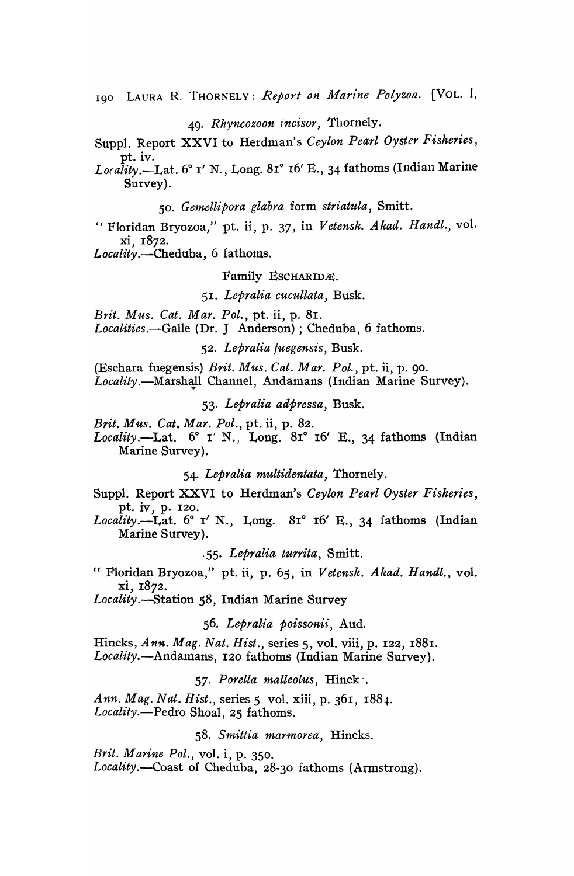190 LAURA R. THORNELY: Report on Marine Polyzoa. [VOL. I,

*49. Rhyncozoon incisor,* Thornely.

Suppl. Report XXVI to Herdman's *Ceylon Pearl Oyster Fisheries,*  pt. iv.

Locality.-Lat. 6° I' N., Long. 81° 16' E., 34 fathoms (Indian Marine Survey).

*50. Gemellipora glabra* form *striatula,* Smitt.

I, Floridan Bryozoa," pt. ii, p. 37, in *Vetensk.* A *kad.* H *andl.,* vol. xi, 1872.

*Locality.-Cheduba,* 6 fathoms.

Family ESCHARIDÆ.

*51. Lepralia cucullata,* Busk.

*Brit. Mus. Cat. Mar. Pol.*, pt. ii, p. 81.

*Localities.-Galle* (Dr. J Anderson); Cheduba, 6 fathoms.

*52. Lepralia /uegensis,* Busk.

(Eschara fuegensis) *Brit. Mus. Cat. Mar. Pol.,* pt. ii, p. go. Locality.-Marshall Channel, Andamans (Indian Marine Survey).

*53. Lepralia adpressa,* Busk.

*Brit. Mus. Cat. Mar. Pol.,* pt. ii, p. 82.

Locality.--Lat. 6° *I' N.*, Long. 81° 16' E., 34 fathoms (Indian Marine Survey).

54. *Lepralia multidentata,* Thornely.

Suppl. Report XXVI to Herdman's *Ceylon Pearl Oyster Fisheries,*  pt. iv, p. 120.

Locality.--Lat. 6° I' N., Long. 81° 16' E., 34 fathoms (Indian Marine Survey).

·55. *Lepralia turrita,* Smitt.

cc Floridan Bryozoa," pt. ii, p. 65, in *Vetensk. Akad. Handl.,* vol. xi, 1872.

*Locality.-Station* 58, Indian Marine Survey

*56. Lepralia poissonii)* Aud.

Hincks, Ann. Mag. Nat. Hist., series 5, vol. viii, p. 122, 1881. *Locality.-Andamans,* 120 fathoms (Indian Marine Survey).

*57. Porella malleolus,* Hinck '.

*Ann. Mag. Nat. Hist.,* series 5 vol. xiii, p. 36I, 1884. *Locality.-Pedro* Shoal, 25 fathoms.

*58. Smitlia marmorea,* Hincks.

*Brit. Marine Pol.,* vol. i, p. 350. Locality.--Coast of Cheduba, 28-30 fathoms (Armstrong).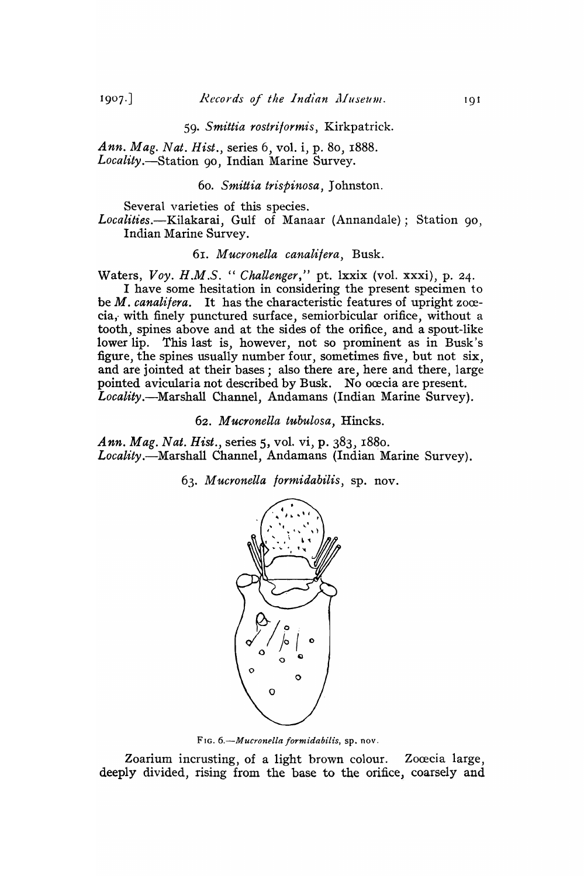#### *59. Smittia rostriformis,* Kirkpatrick.

*Ann. Mag. Nat. Hist.,* series 6, vol. i, p. 80, 1888. *Locality.-Station* 90, Indian Marine Survey.

#### *60. Smittia trispinosa,* Johnston.

Several varieties of this species.

*Localities.-Kilakarai,* Gulf of Manaar (Annandale); Station 90, Indian Marine Survey.

#### *61. Mucronella canalifera,* Busk.

Waters, *Voy. H.M.S.* " *Challenger,"* pt. lxxix (vol. xxxi), p. 24.

I have some hesitation in considering the present specimen to be *M. canalifera*. It has the characteristic features of upright zocecia, with finely punctured surface, semiorbicular orifice, without a tooth, spines above and at the sides of the orifice, and a spout-like lower lip. This last is, however, not so prominent as in Busk's figure, the spines usually number four, sometimes five, but not six, and are jointed at their bases; also there are, here and there, large pointed avicularia not described by Busk. No ocecia are present. *Locality.-Marshall* Channel, Andamans (Indian Marine Survey).

*62. Mucronella tubulosa,* Hincks.

*Ann. Mag. Nat. Hist.,* series 5, vo1. vi, p. 383, 1880. *Locality.-Marshall* Channel, Andamans (Indian Marine Survey).

*63. Mucronella formidabilis,* sp. nov.



FIG. *6.-Mucronella formidabilis,* sp. nov.

Zoarium incrusting, of a light brown colour. Zoœcia large, deeply divided, rising from the base to the orifice, coarsely and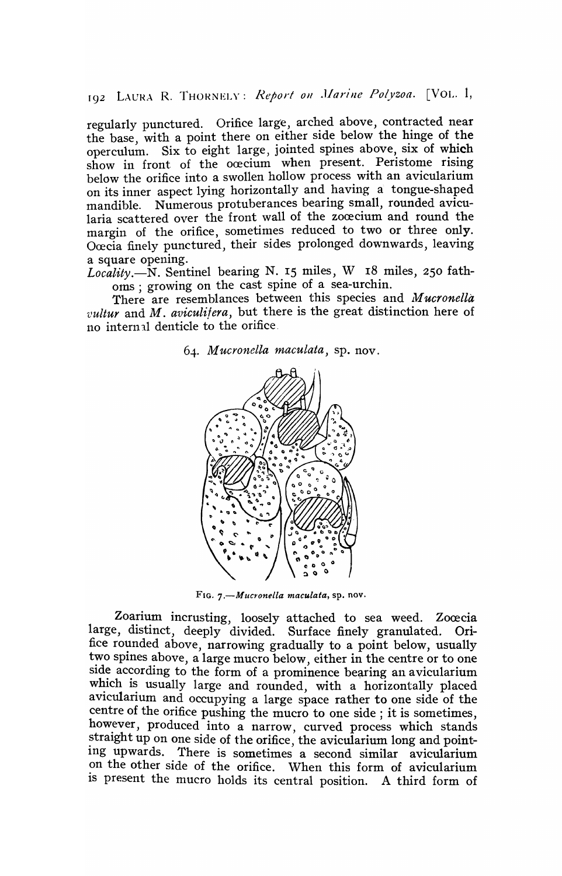192 LAURA R. THORNELY: Report on *Marine Polyzoa.* [VOL. 1,

regularly punctured. Orifice large, arched above, contracted near the base, with a point there on either side below the hinge of the operculum. Six to eight large, jointed spines above, six of which show in front of the ocecium when present. Peristome rising below the orifice into a swollen hollow process with an avicularium on its inner aspect lying horizontally and having a tongue-shaped mandible. Numerous protuberances bearing small, rounded avicularia scattered over the front wall of the zocecium and round the margin of the orifice, sometimes reduced to two or three only. Ocecia finely punctured, their sides prolonged downwards, leaving a square opening.

*Locality.-N.* Sentinel bearing N. 15 miles, W 18 miles, 250 fathoms ; growing on the cast spine of a sea-urchin.

There are resemblances between this species and Mucronella *vultur* and *M. aviculitera*, but there is the great distinction here of no internal denticle to the orifice.

*64. M ucronella maculata,* sp. nov.



FIG. *7.-Mucronella maculata,* sp. nov.

Zoarium incrusting, loosely attached to sea weed. Zoœcia large, distinct, deeply divided. Surface finely granulated. Orifice rounded above, narrowing gradually to a point below, usually two spines above, a large mucro below, either in the centre or to one side according to the form of a prominence bearing an avicularium which is usually large and rounded, with a horizontally placed avicularium and occupying a large space rather to one side of the centre of the orifice pushing the mucro to one side; it is sometimes, however, produced into a narrow, curved process which stands straight up on one side of the orifice, the avicularium long and pointing upwards. There is sometimes a second similar avicularium on the other side of the orifice. 'Vhen this form of avicularium is present the mucro holds its central position. A third form of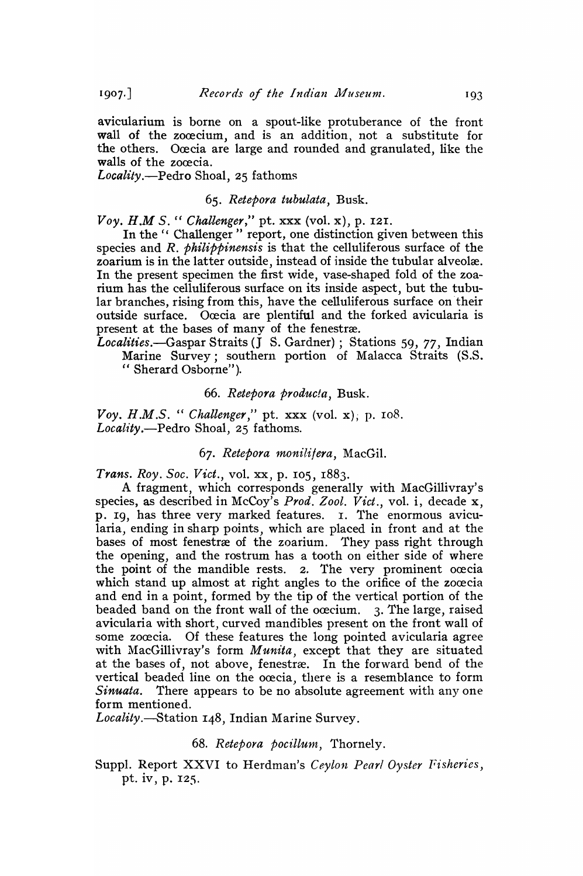avicularium is borne on a spout-like protuberance of the front wall of the zocecium, and is an addition, not a substitute for the others. Ocecia are large and rounded and granulated, like the walls of the zoœcia.

*Locality.-Pedro* Shoal, 25 fathoms

#### *65. Retepora tubulata,* Busk.

*Voy. H.M S.* " *Challenger,"* pt. xxx (vol. x), p. 121.

In the " Challenger" report, one distinction given between this species and *R. Philippinensis* is that the celluliferous surface of the zoarium is in the latter outside, instead of inside the tubular alveolæ. In the present specimen the first wide, vase-shaped fold of the zoarium has the celluliferous surface on its inside aspect, but the tubular branches, rising from this, have the celluliferous surface on their outside surface. Ocecia are plentiful and the forked avicularia is present at the bases of many of the fenestræ.

*Localities.-Gaspar* Straits (J S. Gardner) ; Stations 59, 77, Indian Marine Survey; southern portion of Malacca Straits (S.S.

## " Sherard Osborne").

## 66. Retepora producta, Busk.

*Voy. H.M.S.* " *Challenger*," pt. xxx (vol. x); p. 108. *Locality.-Pedro* Shoal, 25 fathoms.

## *67. Retepora 1nonilitera,* MacGil.

*Trans. Roy. Soc. Viet.,* vol. xx, p. 105, r883.

A fragment, which corresponds generally with MacGillivray's species, as described in McCoy's *Prod. Zool. Viet.,* vol. i, decade x, p. 19, has three very marked features. I. The enormous avicularia, ending in sharp points, which are placed in front and at the bases of most fenestræ of the zoarium. They pass right through the opening, and the rostrum has a tooth on either side of where the point of the mandible rests.  $\alpha$ . The very prominent ocecia which stand up almost at right angles to the orifice of the zocecia and end in a point, formed by the tip of the vertical portion of the beaded band on the front wall of the ocecium. 3. The large, raised avicularia with short, curved mandibles present on the front wall of some zocecia. Of these features the long pointed avicularia agree with MacGillivray's form *Munita*, except that they are situated at the bases of, not above, fenestræ. In the forward bend of the vertical beaded line on the ocecia, there is a resemblance to form *Sinuata.* There appears to be no absolute agreement with anyone form mentioned.

*Loeality.---Station* 148, Indian Marine Survey.

## 68. Retepora pocillum, Thornely.

Suppl. Report XXVI to Herdman's *Ceylon Pearl Oyster Fisheries,*  pt. iv, p. 125.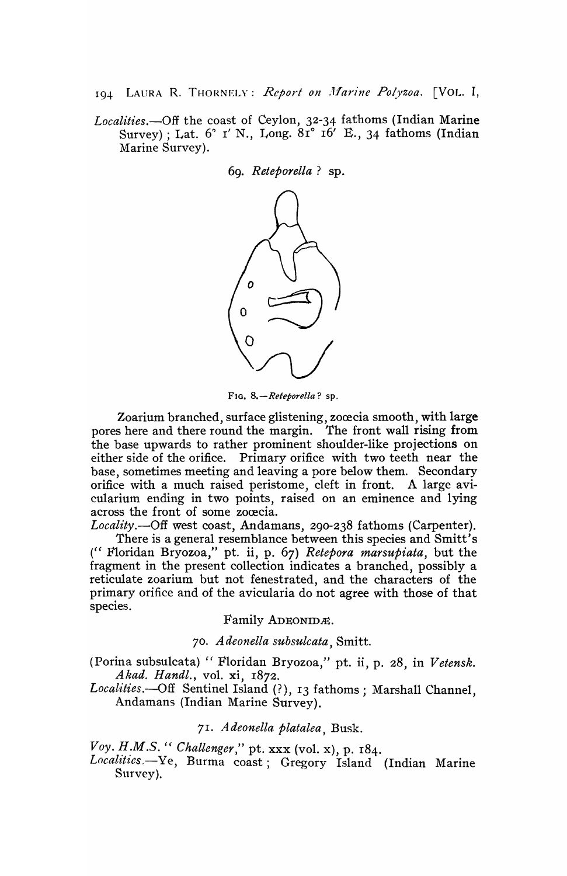194 LAURA R. THORNELY: *Report on Marine Polyzoa*. [VOL. I,

*Localities.-Off* the coast of Ceylon, 32-34 fathoms (Indian Marine Survey); Lat.  $6^\circ$  r' N., Long.  $8\tilde{r}^\circ$  ro' E., 34 fathoms (Indian Marine Survey).

69. *Reteporella?* sp.



FIG. *8.-Reteporella?* sp.

Zoarium branched, surface glistening, zoœcia smooth, with large pores here and there round the margin. The front wall rising from the base upwards to rather prominent shoulder-like projections on either side of the orifice. Primary orifice with two teeth near the base, sometimes meeting and leaving a pore below them. Secondary orifice with a much raised peristome, cleft in front. A large avicularium ending in two points, raised on an eminence and lying across the front of some zoœcia.

Locality.--Off west coast, Andamans, 290-238 fathoms (Carpenter). There is a general resemblance between this species and Smitt's (CC Floridan Bryozoa," pt. ii, p. 67) *Retepora marsupiata,* but the fragment in the present collection indicates a branched, possibly a reticulate zoarium but not fenestrated, and the characters of the primary orifice and of the avicularia do not agree with those of that species.

Family ADEONIDE.

*70 . Adeonella subsulcata,* Smitt.

(Porina subsulcata) " Floridan Bryozoa," pt. ii, p. 28, in *Vetensk. Akad. Handl.,* vol. xi, 1872.

*Localities.--Off* Sentinel Island (?), 13 fathoms; Marshall Channel, Andamans (Indian Marine Survey).

*71. Adeonella platalea,* Busk.

*Voy. H.M.S.* " *Challenger*," pt. xxx (vol. x), p. 184.

Localities.-Ye, Burma coast; Gregory Island (Indian Marine Survey).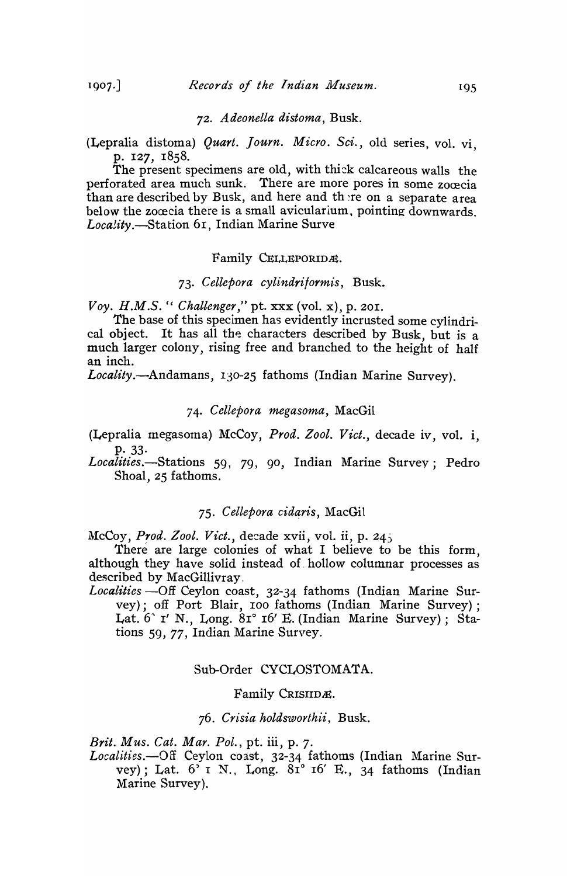### *72. Adeonella distoma,* Busk.

(Lepralia distoma) *Quart.* ] *ourn. Micro. Sci.,* old series, vol. vi, p. 127, 1858.<br>The present specimens are old, with thick calcareous walls the

perforated area much sunk. There are more pores in some zocecia than are described by Busk, and here and the re on a separate area below the zocecia there is a small avicularium, pointing downwards. *Loca!ity.--Station* 61, Indian Marine Surve

### Family CELLEPORIDÆ.

## *73. Cellepora cylindritormis,* Busk.

*Voy. H.M.S.* " *Challenger*," pt. xxx (vol. x), p. 201.

The base of this specimen has evidently incrusted some cylindrical object. It has all the characters described by Busk, but is a much larger colony, rising free and branched to the height of half an inch.

*Locality.-Andamans,* 130-25 fathoms (Indian Marine Survey).

#### *74. Cellepora megasoma,* MacGil

(Lepralia megasoma) McCoy, *Prod. Zool. Vict.*, decade iv, vol. i. P·33·

Localities.-Stations 59, 79, 90, Indian Marine Survey; Pedro Shoal, 25 fathoms.

## 75. Cellepora cidaris, MacGil

McCoy, *Prod. Zool. Vict.*, decade xvii, vol. ii, p. 245

There are large colonies of what I believe to be this form, although they have solid instead of hollow columnar processes as described by MacGillivray.

Localities -- Off Ceylon coast, 32-34 fathoms (Indian Marine Survey); off Port Blair, roo fathoms (Indian Marine Survey); Lat. 6" I' N., Long. 81° 16' E. (Indian Marine Survey); Stations 59, 77, Indian Marine Survey.

#### Sub-Order CYCLOSTOMATA.

#### Family CRISIIDE.

#### *76. Crisia holdsworthii,* Busk.

*Brit. Mus. Cat. Mar. Pol.,* pt. iii, p. 7.

*Localities.-Off* Ceylon coast, 32-34 fathoms (Indian Marine Survey); Lat.  $6'$  I N., Long.  $81^\circ$  16' E., 34 fathoms (Indian Marine Survey).